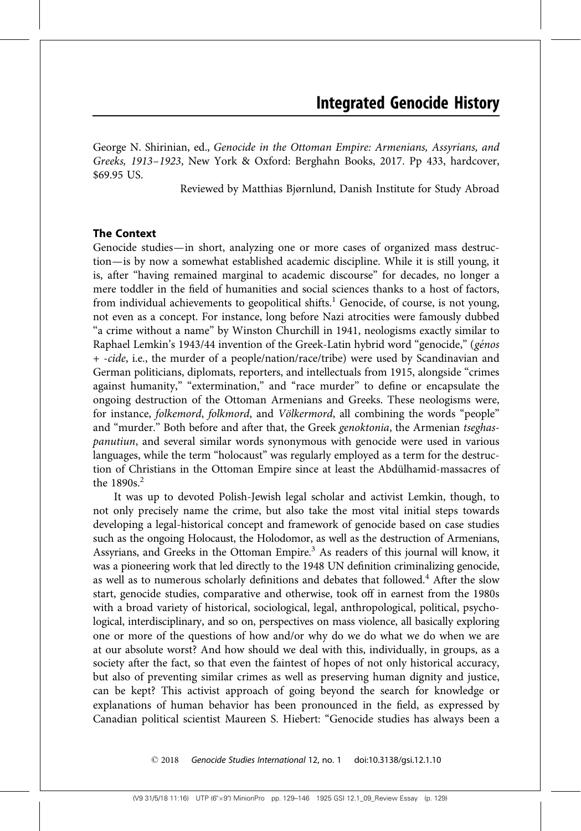George N. Shirinian, ed., Genocide in the Ottoman Empire: Armenians, Assyrians, and Greeks, 1913–1923, New York & Oxford: Berghahn Books, 2017. Pp 433, hardcover, \$69.95 US.

Reviewed by Matthias Bjørnlund, Danish Institute for Study Abroad

# The Context

Genocide studies—in short, analyzing one or more cases of organized mass destruction—is by now a somewhat established academic discipline. While it is still young, it is, after ''having remained marginal to academic discourse'' for decades, no longer a mere toddler in the field of humanities and social sciences thanks to a host of factors, from individual achievements to geopolitical shifts.<sup>1</sup> Genocide, of course, is not young, not even as a concept. For instance, long before Nazi atrocities were famously dubbed "a crime without a name" by Winston Churchill in 1941, neologisms exactly similar to Raphael Lemkin's 1943/44 invention of the Greek-Latin hybrid word "genocide," (génos + -cide, i.e., the murder of a people/nation/race/tribe) were used by Scandinavian and German politicians, diplomats, reporters, and intellectuals from 1915, alongside ''crimes against humanity," "extermination," and "race murder" to define or encapsulate the ongoing destruction of the Ottoman Armenians and Greeks. These neologisms were, for instance, folkemord, folkmord, and Völkermord, all combining the words "people" and "murder." Both before and after that, the Greek genoktonia, the Armenian tseghaspanutiun, and several similar words synonymous with genocide were used in various languages, while the term "holocaust" was regularly employed as a term for the destruction of Christians in the Ottoman Empire since at least the Abdülhamid-massacres of the 1890s.<sup>2</sup>

It was up to devoted Polish-Jewish legal scholar and activist Lemkin, though, to not only precisely name the crime, but also take the most vital initial steps towards developing a legal-historical concept and framework of genocide based on case studies such as the ongoing Holocaust, the Holodomor, as well as the destruction of Armenians, Assyrians, and Greeks in the Ottoman Empire.<sup>3</sup> As readers of this journal will know, it was a pioneering work that led directly to the 1948 UN definition criminalizing genocide, as well as to numerous scholarly definitions and debates that followed.<sup>4</sup> After the slow start, genocide studies, comparative and otherwise, took off in earnest from the 1980s with a broad variety of historical, sociological, legal, anthropological, political, psychological, interdisciplinary, and so on, perspectives on mass violence, all basically exploring one or more of the questions of how and/or why do we do what we do when we are at our absolute worst? And how should we deal with this, individually, in groups, as a society after the fact, so that even the faintest of hopes of not only historical accuracy, but also of preventing similar crimes as well as preserving human dignity and justice, can be kept? This activist approach of going beyond the search for knowledge or explanations of human behavior has been pronounced in the field, as expressed by Canadian political scientist Maureen S. Hiebert: ''Genocide studies has always been a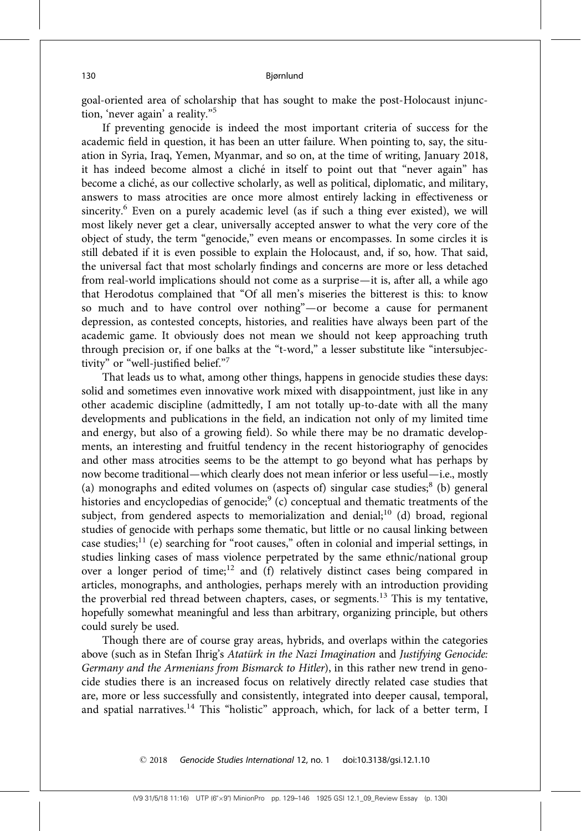goal-oriented area of scholarship that has sought to make the post-Holocaust injunction, 'never again' a reality."<sup>5</sup>

If preventing genocide is indeed the most important criteria of success for the academic field in question, it has been an utter failure. When pointing to, say, the situation in Syria, Iraq, Yemen, Myanmar, and so on, at the time of writing, January 2018, it has indeed become almost a cliché in itself to point out that "never again" has become a cliché, as our collective scholarly, as well as political, diplomatic, and military, answers to mass atrocities are once more almost entirely lacking in effectiveness or sincerity.<sup>6</sup> Even on a purely academic level (as if such a thing ever existed), we will most likely never get a clear, universally accepted answer to what the very core of the object of study, the term "genocide," even means or encompasses. In some circles it is still debated if it is even possible to explain the Holocaust, and, if so, how. That said, the universal fact that most scholarly findings and concerns are more or less detached from real-world implications should not come as a surprise—it is, after all, a while ago that Herodotus complained that ''Of all men's miseries the bitterest is this: to know so much and to have control over nothing''—or become a cause for permanent depression, as contested concepts, histories, and realities have always been part of the academic game. It obviously does not mean we should not keep approaching truth through precision or, if one balks at the "t-word," a lesser substitute like "intersubjectivity" or "well-justified belief."7

That leads us to what, among other things, happens in genocide studies these days: solid and sometimes even innovative work mixed with disappointment, just like in any other academic discipline (admittedly, I am not totally up-to-date with all the many developments and publications in the field, an indication not only of my limited time and energy, but also of a growing field). So while there may be no dramatic developments, an interesting and fruitful tendency in the recent historiography of genocides and other mass atrocities seems to be the attempt to go beyond what has perhaps by now become traditional—which clearly does not mean inferior or less useful—i.e., mostly (a) monographs and edited volumes on (aspects of) singular case studies; $8$  (b) general histories and encyclopedias of genocide; $9$  (c) conceptual and thematic treatments of the subject, from gendered aspects to memorialization and denial;<sup>10</sup> (d) broad, regional studies of genocide with perhaps some thematic, but little or no causal linking between case studies;<sup>11</sup> (e) searching for "root causes," often in colonial and imperial settings, in studies linking cases of mass violence perpetrated by the same ethnic/national group over a longer period of time; $12$  and (f) relatively distinct cases being compared in articles, monographs, and anthologies, perhaps merely with an introduction providing the proverbial red thread between chapters, cases, or segments.<sup>13</sup> This is my tentative, hopefully somewhat meaningful and less than arbitrary, organizing principle, but others could surely be used.

Though there are of course gray areas, hybrids, and overlaps within the categories above (such as in Stefan Ihrig's Atatürk in the Nazi Imagination and Justifying Genocide: Germany and the Armenians from Bismarck to Hitler), in this rather new trend in genocide studies there is an increased focus on relatively directly related case studies that are, more or less successfully and consistently, integrated into deeper causal, temporal, and spatial narratives.<sup>14</sup> This "holistic" approach, which, for lack of a better term, I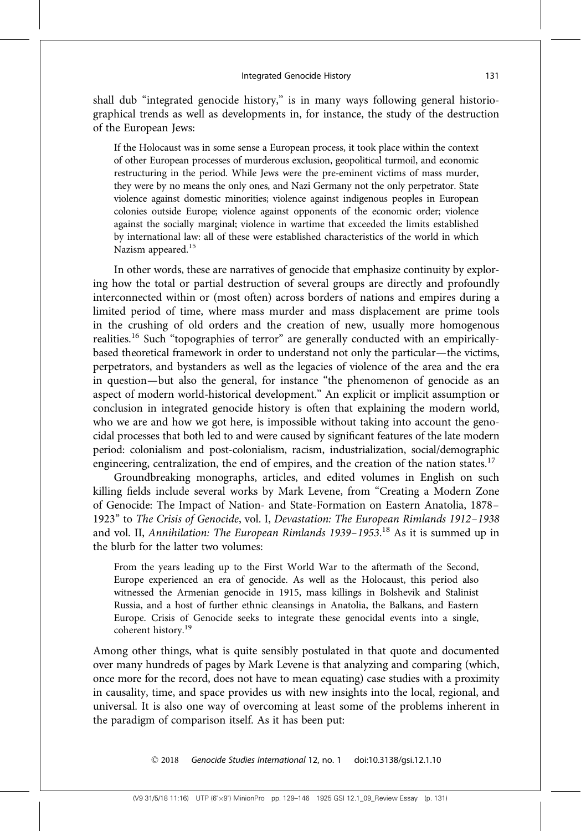shall dub ''integrated genocide history,'' is in many ways following general historiographical trends as well as developments in, for instance, the study of the destruction of the European Jews:

If the Holocaust was in some sense a European process, it took place within the context of other European processes of murderous exclusion, geopolitical turmoil, and economic restructuring in the period. While Jews were the pre-eminent victims of mass murder, they were by no means the only ones, and Nazi Germany not the only perpetrator. State violence against domestic minorities; violence against indigenous peoples in European colonies outside Europe; violence against opponents of the economic order; violence against the socially marginal; violence in wartime that exceeded the limits established by international law: all of these were established characteristics of the world in which Nazism appeared.<sup>15</sup>

In other words, these are narratives of genocide that emphasize continuity by exploring how the total or partial destruction of several groups are directly and profoundly interconnected within or (most often) across borders of nations and empires during a limited period of time, where mass murder and mass displacement are prime tools in the crushing of old orders and the creation of new, usually more homogenous realities.<sup>16</sup> Such "topographies of terror" are generally conducted with an empiricallybased theoretical framework in order to understand not only the particular—the victims, perpetrators, and bystanders as well as the legacies of violence of the area and the era in question—but also the general, for instance ''the phenomenon of genocide as an aspect of modern world-historical development.'' An explicit or implicit assumption or conclusion in integrated genocide history is often that explaining the modern world, who we are and how we got here, is impossible without taking into account the genocidal processes that both led to and were caused by significant features of the late modern period: colonialism and post-colonialism, racism, industrialization, social/demographic engineering, centralization, the end of empires, and the creation of the nation states.<sup>17</sup>

Groundbreaking monographs, articles, and edited volumes in English on such killing fields include several works by Mark Levene, from "Creating a Modern Zone of Genocide: The Impact of Nation- and State-Formation on Eastern Anatolia, 1878– 1923'' to The Crisis of Genocide, vol. I, Devastation: The European Rimlands 1912–1938 and vol. II, Annihilation: The European Rimlands 1939–1953.<sup>18</sup> As it is summed up in the blurb for the latter two volumes:

From the years leading up to the First World War to the aftermath of the Second, Europe experienced an era of genocide. As well as the Holocaust, this period also witnessed the Armenian genocide in 1915, mass killings in Bolshevik and Stalinist Russia, and a host of further ethnic cleansings in Anatolia, the Balkans, and Eastern Europe. Crisis of Genocide seeks to integrate these genocidal events into a single, coherent history.<sup>19</sup>

Among other things, what is quite sensibly postulated in that quote and documented over many hundreds of pages by Mark Levene is that analyzing and comparing (which, once more for the record, does not have to mean equating) case studies with a proximity in causality, time, and space provides us with new insights into the local, regional, and universal. It is also one way of overcoming at least some of the problems inherent in the paradigm of comparison itself. As it has been put: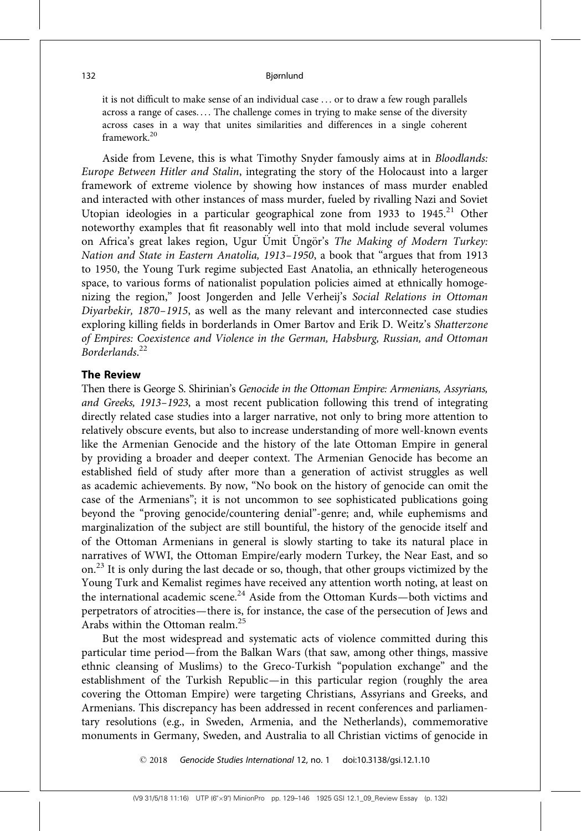it is not difficult to make sense of an individual case . . . or to draw a few rough parallels across a range of cases.... The challenge comes in trying to make sense of the diversity across cases in a way that unites similarities and differences in a single coherent framework.<sup>20</sup>

Aside from Levene, this is what Timothy Snyder famously aims at in Bloodlands: Europe Between Hitler and Stalin, integrating the story of the Holocaust into a larger framework of extreme violence by showing how instances of mass murder enabled and interacted with other instances of mass murder, fueled by rivalling Nazi and Soviet Utopian ideologies in a particular geographical zone from 1933 to 1945.<sup>21</sup> Other noteworthy examples that fit reasonably well into that mold include several volumes on Africa's great lakes region, Ugur Ümit Üngör's The Making of Modern Turkey: Nation and State in Eastern Anatolia, 1913–1950, a book that ''argues that from 1913 to 1950, the Young Turk regime subjected East Anatolia, an ethnically heterogeneous space, to various forms of nationalist population policies aimed at ethnically homogenizing the region,'' Joost Jongerden and Jelle Verheij's Social Relations in Ottoman Diyarbekir, 1870–1915, as well as the many relevant and interconnected case studies exploring killing fields in borderlands in Omer Bartov and Erik D. Weitz's Shatterzone of Empires: Coexistence and Violence in the German, Habsburg, Russian, and Ottoman Borderlands. 22

# The Review

Then there is George S. Shirinian's Genocide in the Ottoman Empire: Armenians, Assyrians, and Greeks, 1913–1923, a most recent publication following this trend of integrating directly related case studies into a larger narrative, not only to bring more attention to relatively obscure events, but also to increase understanding of more well-known events like the Armenian Genocide and the history of the late Ottoman Empire in general by providing a broader and deeper context. The Armenian Genocide has become an established field of study after more than a generation of activist struggles as well as academic achievements. By now, ''No book on the history of genocide can omit the case of the Armenians''; it is not uncommon to see sophisticated publications going beyond the ''proving genocide/countering denial''-genre; and, while euphemisms and marginalization of the subject are still bountiful, the history of the genocide itself and of the Ottoman Armenians in general is slowly starting to take its natural place in narratives of WWI, the Ottoman Empire/early modern Turkey, the Near East, and so on.<sup>23</sup> It is only during the last decade or so, though, that other groups victimized by the Young Turk and Kemalist regimes have received any attention worth noting, at least on the international academic scene.<sup>24</sup> Aside from the Ottoman Kurds—both victims and perpetrators of atrocities—there is, for instance, the case of the persecution of Jews and Arabs within the Ottoman realm.<sup>25</sup>

But the most widespread and systematic acts of violence committed during this particular time period—from the Balkan Wars (that saw, among other things, massive ethnic cleansing of Muslims) to the Greco-Turkish ''population exchange'' and the establishment of the Turkish Republic—in this particular region (roughly the area covering the Ottoman Empire) were targeting Christians, Assyrians and Greeks, and Armenians. This discrepancy has been addressed in recent conferences and parliamentary resolutions (e.g., in Sweden, Armenia, and the Netherlands), commemorative monuments in Germany, Sweden, and Australia to all Christian victims of genocide in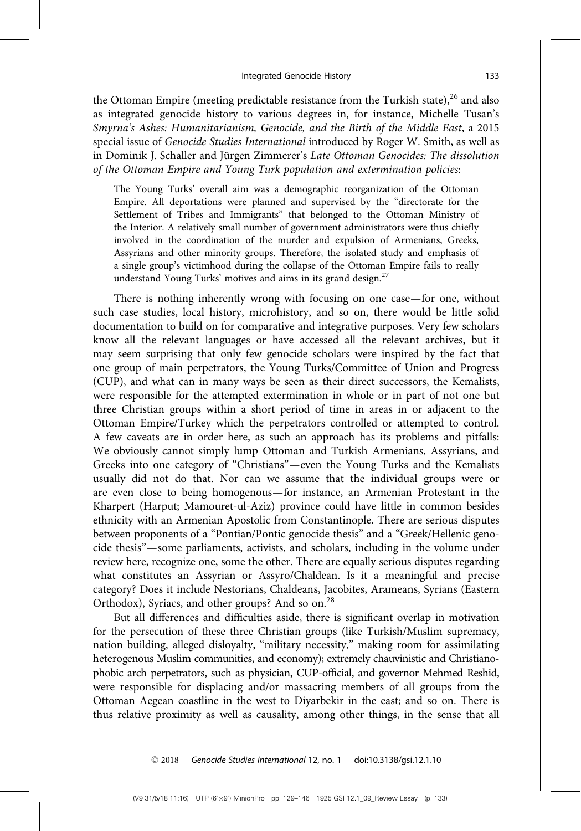the Ottoman Empire (meeting predictable resistance from the Turkish state), $^{26}$  and also as integrated genocide history to various degrees in, for instance, Michelle Tusan's Smyrna's Ashes: Humanitarianism, Genocide, and the Birth of the Middle East, a 2015 special issue of Genocide Studies International introduced by Roger W. Smith, as well as in Dominik J. Schaller and Jürgen Zimmerer's Late Ottoman Genocides: The dissolution of the Ottoman Empire and Young Turk population and extermination policies:

The Young Turks' overall aim was a demographic reorganization of the Ottoman Empire. All deportations were planned and supervised by the ''directorate for the Settlement of Tribes and Immigrants'' that belonged to the Ottoman Ministry of the Interior. A relatively small number of government administrators were thus chiefly involved in the coordination of the murder and expulsion of Armenians, Greeks, Assyrians and other minority groups. Therefore, the isolated study and emphasis of a single group's victimhood during the collapse of the Ottoman Empire fails to really understand Young Turks' motives and aims in its grand design.<sup>27</sup>

There is nothing inherently wrong with focusing on one case—for one, without such case studies, local history, microhistory, and so on, there would be little solid documentation to build on for comparative and integrative purposes. Very few scholars know all the relevant languages or have accessed all the relevant archives, but it may seem surprising that only few genocide scholars were inspired by the fact that one group of main perpetrators, the Young Turks/Committee of Union and Progress (CUP), and what can in many ways be seen as their direct successors, the Kemalists, were responsible for the attempted extermination in whole or in part of not one but three Christian groups within a short period of time in areas in or adjacent to the Ottoman Empire/Turkey which the perpetrators controlled or attempted to control. A few caveats are in order here, as such an approach has its problems and pitfalls: We obviously cannot simply lump Ottoman and Turkish Armenians, Assyrians, and Greeks into one category of ''Christians''—even the Young Turks and the Kemalists usually did not do that. Nor can we assume that the individual groups were or are even close to being homogenous—for instance, an Armenian Protestant in the Kharpert (Harput; Mamouret-ul-Aziz) province could have little in common besides ethnicity with an Armenian Apostolic from Constantinople. There are serious disputes between proponents of a ''Pontian/Pontic genocide thesis'' and a ''Greek/Hellenic genocide thesis''—some parliaments, activists, and scholars, including in the volume under review here, recognize one, some the other. There are equally serious disputes regarding what constitutes an Assyrian or Assyro/Chaldean. Is it a meaningful and precise category? Does it include Nestorians, Chaldeans, Jacobites, Arameans, Syrians (Eastern Orthodox), Syriacs, and other groups? And so on.<sup>28</sup>

But all differences and difficulties aside, there is significant overlap in motivation for the persecution of these three Christian groups (like Turkish/Muslim supremacy, nation building, alleged disloyalty, "military necessity," making room for assimilating heterogenous Muslim communities, and economy); extremely chauvinistic and Christianophobic arch perpetrators, such as physician, CUP-official, and governor Mehmed Reshid, were responsible for displacing and/or massacring members of all groups from the Ottoman Aegean coastline in the west to Diyarbekir in the east; and so on. There is thus relative proximity as well as causality, among other things, in the sense that all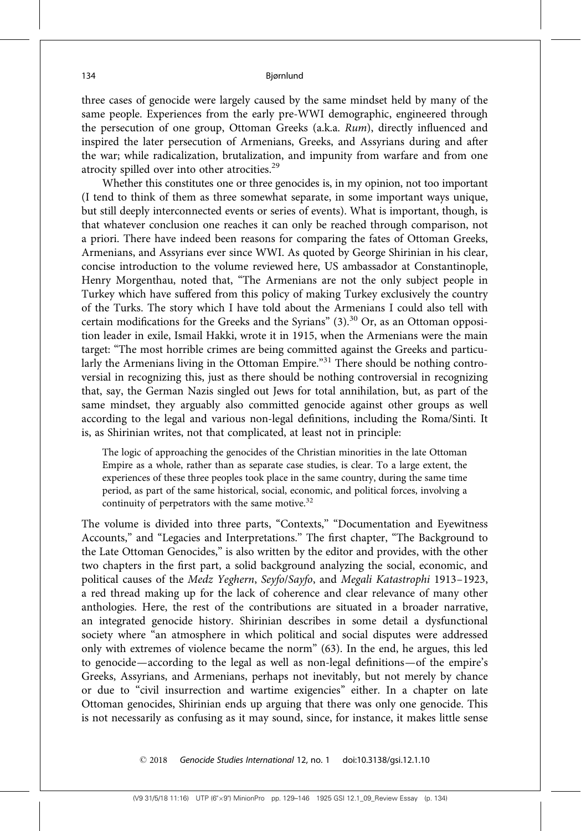three cases of genocide were largely caused by the same mindset held by many of the same people. Experiences from the early pre-WWI demographic, engineered through the persecution of one group, Ottoman Greeks (a.k.a. Rum), directly influenced and inspired the later persecution of Armenians, Greeks, and Assyrians during and after the war; while radicalization, brutalization, and impunity from warfare and from one atrocity spilled over into other atrocities.<sup>29</sup>

Whether this constitutes one or three genocides is, in my opinion, not too important (I tend to think of them as three somewhat separate, in some important ways unique, but still deeply interconnected events or series of events). What is important, though, is that whatever conclusion one reaches it can only be reached through comparison, not a priori. There have indeed been reasons for comparing the fates of Ottoman Greeks, Armenians, and Assyrians ever since WWI. As quoted by George Shirinian in his clear, concise introduction to the volume reviewed here, US ambassador at Constantinople, Henry Morgenthau, noted that, ''The Armenians are not the only subject people in Turkey which have suffered from this policy of making Turkey exclusively the country of the Turks. The story which I have told about the Armenians I could also tell with certain modifications for the Greeks and the Syrians"  $(3)$ .<sup>30</sup> Or, as an Ottoman opposition leader in exile, Ismail Hakki, wrote it in 1915, when the Armenians were the main target: ''The most horrible crimes are being committed against the Greeks and particularly the Armenians living in the Ottoman Empire."<sup>31</sup> There should be nothing controversial in recognizing this, just as there should be nothing controversial in recognizing that, say, the German Nazis singled out Jews for total annihilation, but, as part of the same mindset, they arguably also committed genocide against other groups as well according to the legal and various non-legal definitions, including the Roma/Sinti. It is, as Shirinian writes, not that complicated, at least not in principle:

The logic of approaching the genocides of the Christian minorities in the late Ottoman Empire as a whole, rather than as separate case studies, is clear. To a large extent, the experiences of these three peoples took place in the same country, during the same time period, as part of the same historical, social, economic, and political forces, involving a continuity of perpetrators with the same motive. $32$ 

The volume is divided into three parts, "Contexts," "Documentation and Eyewitness Accounts,'' and ''Legacies and Interpretations.'' The first chapter, ''The Background to the Late Ottoman Genocides,'' is also written by the editor and provides, with the other two chapters in the first part, a solid background analyzing the social, economic, and political causes of the Medz Yeghern, Seyfo/Sayfo, and Megali Katastrophi 1913–1923, a red thread making up for the lack of coherence and clear relevance of many other anthologies. Here, the rest of the contributions are situated in a broader narrative, an integrated genocide history. Shirinian describes in some detail a dysfunctional society where ''an atmosphere in which political and social disputes were addressed only with extremes of violence became the norm'' (63). In the end, he argues, this led to genocide—according to the legal as well as non-legal definitions—of the empire's Greeks, Assyrians, and Armenians, perhaps not inevitably, but not merely by chance or due to "civil insurrection and wartime exigencies" either. In a chapter on late Ottoman genocides, Shirinian ends up arguing that there was only one genocide. This is not necessarily as confusing as it may sound, since, for instance, it makes little sense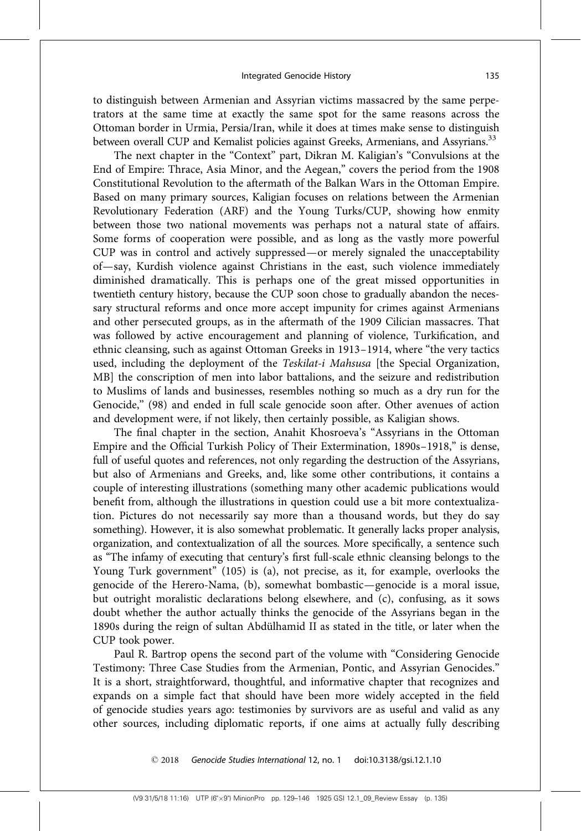to distinguish between Armenian and Assyrian victims massacred by the same perpetrators at the same time at exactly the same spot for the same reasons across the Ottoman border in Urmia, Persia/Iran, while it does at times make sense to distinguish between overall CUP and Kemalist policies against Greeks, Armenians, and Assyrians.<sup>33</sup>

The next chapter in the "Context" part, Dikran M. Kaligian's "Convulsions at the End of Empire: Thrace, Asia Minor, and the Aegean,'' covers the period from the 1908 Constitutional Revolution to the aftermath of the Balkan Wars in the Ottoman Empire. Based on many primary sources, Kaligian focuses on relations between the Armenian Revolutionary Federation (ARF) and the Young Turks/CUP, showing how enmity between those two national movements was perhaps not a natural state of affairs. Some forms of cooperation were possible, and as long as the vastly more powerful CUP was in control and actively suppressed—or merely signaled the unacceptability of—say, Kurdish violence against Christians in the east, such violence immediately diminished dramatically. This is perhaps one of the great missed opportunities in twentieth century history, because the CUP soon chose to gradually abandon the necessary structural reforms and once more accept impunity for crimes against Armenians and other persecuted groups, as in the aftermath of the 1909 Cilician massacres. That was followed by active encouragement and planning of violence, Turkification, and ethnic cleansing, such as against Ottoman Greeks in 1913–1914, where "the very tactics used, including the deployment of the Teskilat-i Mahsusa [the Special Organization, MB] the conscription of men into labor battalions, and the seizure and redistribution to Muslims of lands and businesses, resembles nothing so much as a dry run for the Genocide,'' (98) and ended in full scale genocide soon after. Other avenues of action and development were, if not likely, then certainly possible, as Kaligian shows.

The final chapter in the section, Anahit Khosroeva's "Assyrians in the Ottoman Empire and the Official Turkish Policy of Their Extermination, 1890s–1918,'' is dense, full of useful quotes and references, not only regarding the destruction of the Assyrians, but also of Armenians and Greeks, and, like some other contributions, it contains a couple of interesting illustrations (something many other academic publications would benefit from, although the illustrations in question could use a bit more contextualization. Pictures do not necessarily say more than a thousand words, but they do say something). However, it is also somewhat problematic. It generally lacks proper analysis, organization, and contextualization of all the sources. More specifically, a sentence such as ''The infamy of executing that century's first full-scale ethnic cleansing belongs to the Young Turk government'' (105) is (a), not precise, as it, for example, overlooks the genocide of the Herero-Nama, (b), somewhat bombastic—genocide is a moral issue, but outright moralistic declarations belong elsewhere, and (c), confusing, as it sows doubt whether the author actually thinks the genocide of the Assyrians began in the 1890s during the reign of sultan Abdülhamid II as stated in the title, or later when the CUP took power.

Paul R. Bartrop opens the second part of the volume with ''Considering Genocide Testimony: Three Case Studies from the Armenian, Pontic, and Assyrian Genocides.'' It is a short, straightforward, thoughtful, and informative chapter that recognizes and expands on a simple fact that should have been more widely accepted in the field of genocide studies years ago: testimonies by survivors are as useful and valid as any other sources, including diplomatic reports, if one aims at actually fully describing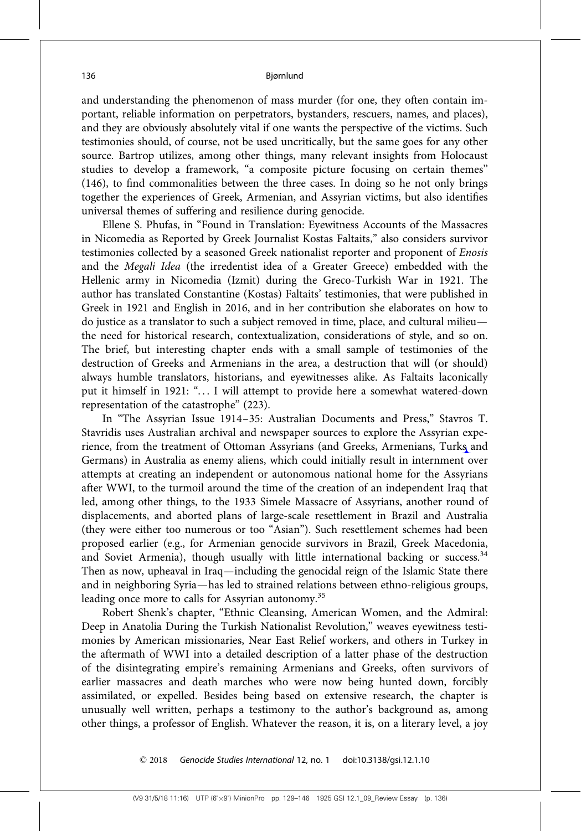and understanding the phenomenon of mass murder (for one, they often contain important, reliable information on perpetrators, bystanders, rescuers, names, and places), and they are obviously absolutely vital if one wants the perspective of the victims. Such testimonies should, of course, not be used uncritically, but the same goes for any other source. Bartrop utilizes, among other things, many relevant insights from Holocaust studies to develop a framework, "a composite picture focusing on certain themes" (146), to find commonalities between the three cases. In doing so he not only brings together the experiences of Greek, Armenian, and Assyrian victims, but also identifies universal themes of suffering and resilience during genocide.

Ellene S. Phufas, in ''Found in Translation: Eyewitness Accounts of the Massacres in Nicomedia as Reported by Greek Journalist Kostas Faltaits,'' also considers survivor testimonies collected by a seasoned Greek nationalist reporter and proponent of Enosis and the Megali Idea (the irredentist idea of a Greater Greece) embedded with the Hellenic army in Nicomedia (Izmit) during the Greco-Turkish War in 1921. The author has translated Constantine (Kostas) Faltaits' testimonies, that were published in Greek in 1921 and English in 2016, and in her contribution she elaborates on how to do justice as a translator to such a subject removed in time, place, and cultural milieu the need for historical research, contextualization, considerations of style, and so on. The brief, but interesting chapter ends with a small sample of testimonies of the destruction of Greeks and Armenians in the area, a destruction that will (or should) always humble translators, historians, and eyewitnesses alike. As Faltaits laconically put it himself in 1921: "... I will attempt to provide here a somewhat watered-down representation of the catastrophe'' (223).

In ''The Assyrian Issue 1914–35: Australian Documents and Press,'' Stavros T. Stavridis uses Australian archival and newspaper sources to explore the Assyrian experience, from the treatment of Ottoman Assyrians (and Greeks, Armenians, Turks and Germans) in Australia as enemy aliens, which could initially result in internment over attempts at creating an independent or autonomous national home for the Assyrians after WWI, to the turmoil around the time of the creation of an independent Iraq that led, among other things, to the 1933 Simele Massacre of Assyrians, another round of displacements, and aborted plans of large-scale resettlement in Brazil and Australia (they were either too numerous or too ''Asian''). Such resettlement schemes had been proposed earlier (e.g., for Armenian genocide survivors in Brazil, Greek Macedonia, and Soviet Armenia), though usually with little international backing or success. $34$ Then as now, upheaval in Iraq—including the genocidal reign of the Islamic State there and in neighboring Syria—has led to strained relations between ethno-religious groups, leading once more to calls for Assyrian autonomy.<sup>35</sup>

Robert Shenk's chapter, "Ethnic Cleansing, American Women, and the Admiral: Deep in Anatolia During the Turkish Nationalist Revolution,'' weaves eyewitness testimonies by American missionaries, Near East Relief workers, and others in Turkey in the aftermath of WWI into a detailed description of a latter phase of the destruction of the disintegrating empire's remaining Armenians and Greeks, often survivors of earlier massacres and death marches who were now being hunted down, forcibly assimilated, or expelled. Besides being based on extensive research, the chapter is unusually well written, perhaps a testimony to the author's background as, among other things, a professor of English. Whatever the reason, it is, on a literary level, a joy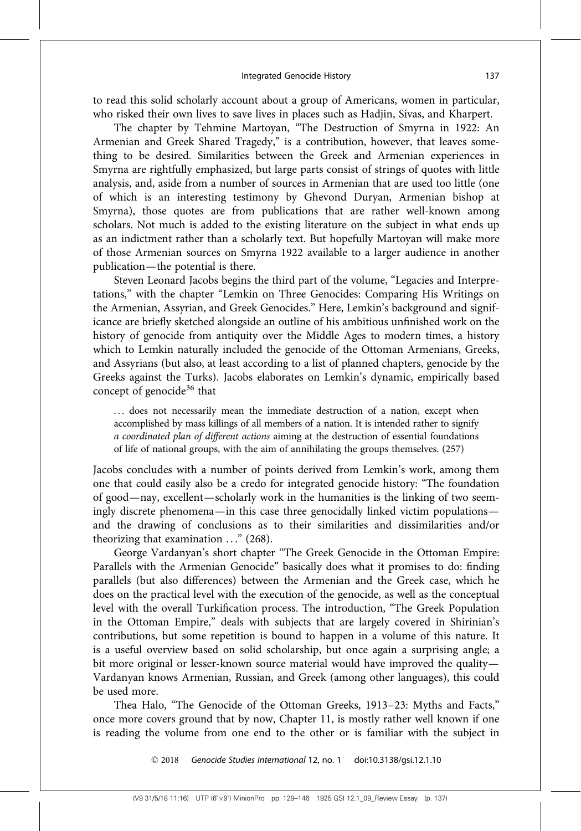to read this solid scholarly account about a group of Americans, women in particular, who risked their own lives to save lives in places such as Hadjin, Sivas, and Kharpert.

The chapter by Tehmine Martoyan, "The Destruction of Smyrna in 1922: An Armenian and Greek Shared Tragedy," is a contribution, however, that leaves something to be desired. Similarities between the Greek and Armenian experiences in Smyrna are rightfully emphasized, but large parts consist of strings of quotes with little analysis, and, aside from a number of sources in Armenian that are used too little (one of which is an interesting testimony by Ghevond Duryan, Armenian bishop at Smyrna), those quotes are from publications that are rather well-known among scholars. Not much is added to the existing literature on the subject in what ends up as an indictment rather than a scholarly text. But hopefully Martoyan will make more of those Armenian sources on Smyrna 1922 available to a larger audience in another publication—the potential is there.

Steven Leonard Jacobs begins the third part of the volume, ''Legacies and Interpretations,'' with the chapter ''Lemkin on Three Genocides: Comparing His Writings on the Armenian, Assyrian, and Greek Genocides.'' Here, Lemkin's background and significance are briefly sketched alongside an outline of his ambitious unfinished work on the history of genocide from antiquity over the Middle Ages to modern times, a history which to Lemkin naturally included the genocide of the Ottoman Armenians, Greeks, and Assyrians (but also, at least according to a list of planned chapters, genocide by the Greeks against the Turks). Jacobs elaborates on Lemkin's dynamic, empirically based concept of genocide<sup>36</sup> that

... does not necessarily mean the immediate destruction of a nation, except when accomplished by mass killings of all members of a nation. It is intended rather to signify a coordinated plan of different actions aiming at the destruction of essential foundations of life of national groups, with the aim of annihilating the groups themselves. (257)

Jacobs concludes with a number of points derived from Lemkin's work, among them one that could easily also be a credo for integrated genocide history: ''The foundation of good—nay, excellent—scholarly work in the humanities is the linking of two seemingly discrete phenomena—in this case three genocidally linked victim populations and the drawing of conclusions as to their similarities and dissimilarities and/or theorizing that examination  $\ldots$ " (268).

George Vardanyan's short chapter ''The Greek Genocide in the Ottoman Empire: Parallels with the Armenian Genocide'' basically does what it promises to do: finding parallels (but also differences) between the Armenian and the Greek case, which he does on the practical level with the execution of the genocide, as well as the conceptual level with the overall Turkification process. The introduction, ''The Greek Population in the Ottoman Empire,'' deals with subjects that are largely covered in Shirinian's contributions, but some repetition is bound to happen in a volume of this nature. It is a useful overview based on solid scholarship, but once again a surprising angle; a bit more original or lesser-known source material would have improved the quality— Vardanyan knows Armenian, Russian, and Greek (among other languages), this could be used more.

Thea Halo, "The Genocide of the Ottoman Greeks, 1913-23: Myths and Facts," once more covers ground that by now, Chapter 11, is mostly rather well known if one is reading the volume from one end to the other or is familiar with the subject in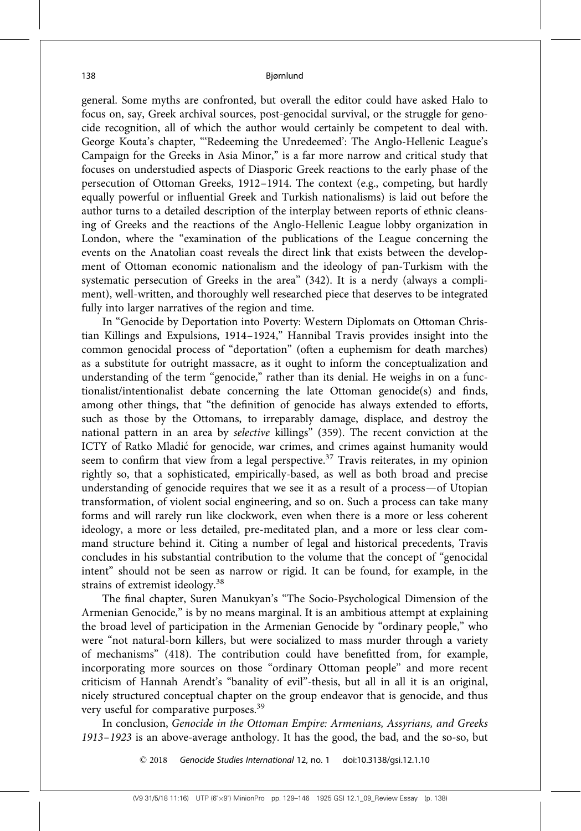general. Some myths are confronted, but overall the editor could have asked Halo to focus on, say, Greek archival sources, post-genocidal survival, or the struggle for genocide recognition, all of which the author would certainly be competent to deal with. George Kouta's chapter, '''Redeeming the Unredeemed': The Anglo-Hellenic League's Campaign for the Greeks in Asia Minor,'' is a far more narrow and critical study that focuses on understudied aspects of Diasporic Greek reactions to the early phase of the persecution of Ottoman Greeks, 1912–1914. The context (e.g., competing, but hardly equally powerful or influential Greek and Turkish nationalisms) is laid out before the author turns to a detailed description of the interplay between reports of ethnic cleansing of Greeks and the reactions of the Anglo-Hellenic League lobby organization in London, where the "examination of the publications of the League concerning the events on the Anatolian coast reveals the direct link that exists between the development of Ottoman economic nationalism and the ideology of pan-Turkism with the systematic persecution of Greeks in the area'' (342). It is a nerdy (always a compliment), well-written, and thoroughly well researched piece that deserves to be integrated fully into larger narratives of the region and time.

In "Genocide by Deportation into Poverty: Western Diplomats on Ottoman Christian Killings and Expulsions, 1914–1924,'' Hannibal Travis provides insight into the common genocidal process of ''deportation'' (often a euphemism for death marches) as a substitute for outright massacre, as it ought to inform the conceptualization and understanding of the term "genocide," rather than its denial. He weighs in on a functionalist/intentionalist debate concerning the late Ottoman genocide(s) and finds, among other things, that ''the definition of genocide has always extended to efforts, such as those by the Ottomans, to irreparably damage, displace, and destroy the national pattern in an area by selective killings'' (359). The recent conviction at the ICTY of Ratko Mladić for genocide, war crimes, and crimes against humanity would seem to confirm that view from a legal perspective.<sup>37</sup> Travis reiterates, in my opinion rightly so, that a sophisticated, empirically-based, as well as both broad and precise understanding of genocide requires that we see it as a result of a process—of Utopian transformation, of violent social engineering, and so on. Such a process can take many forms and will rarely run like clockwork, even when there is a more or less coherent ideology, a more or less detailed, pre-meditated plan, and a more or less clear command structure behind it. Citing a number of legal and historical precedents, Travis concludes in his substantial contribution to the volume that the concept of ''genocidal intent'' should not be seen as narrow or rigid. It can be found, for example, in the strains of extremist ideology.<sup>38</sup>

The final chapter, Suren Manukyan's ''The Socio-Psychological Dimension of the Armenian Genocide,'' is by no means marginal. It is an ambitious attempt at explaining the broad level of participation in the Armenian Genocide by ''ordinary people,'' who were "not natural-born killers, but were socialized to mass murder through a variety of mechanisms'' (418). The contribution could have benefitted from, for example, incorporating more sources on those "ordinary Ottoman people" and more recent criticism of Hannah Arendt's ''banality of evil''-thesis, but all in all it is an original, nicely structured conceptual chapter on the group endeavor that is genocide, and thus very useful for comparative purposes.<sup>39</sup>

In conclusion, Genocide in the Ottoman Empire: Armenians, Assyrians, and Greeks 1913–1923 is an above-average anthology. It has the good, the bad, and the so-so, but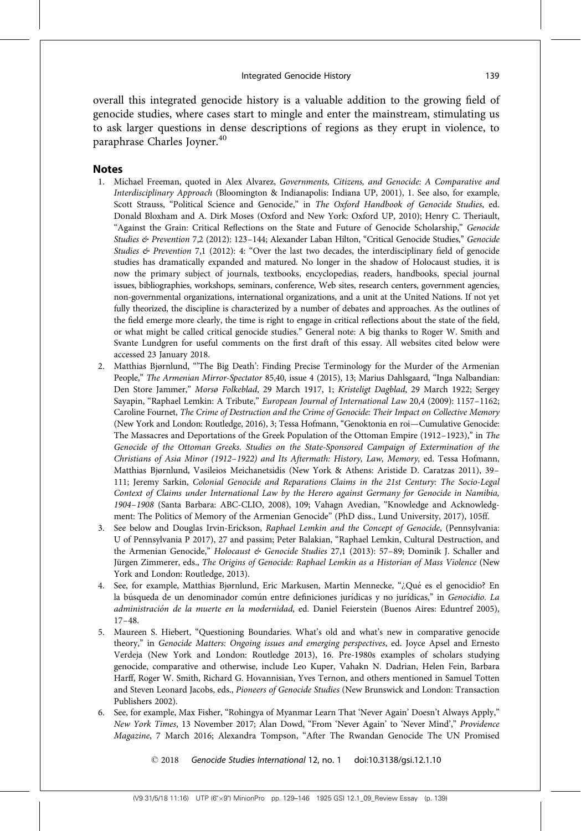overall this integrated genocide history is a valuable addition to the growing field of genocide studies, where cases start to mingle and enter the mainstream, stimulating us to ask larger questions in dense descriptions of regions as they erupt in violence, to paraphrase Charles Joyner.<sup>40</sup>

# **Notes**

- 1. Michael Freeman, quoted in Alex Alvarez, Governments, Citizens, and Genocide: A Comparative and Interdisciplinary Approach (Bloomington & Indianapolis: Indiana UP, 2001), 1. See also, for example, Scott Strauss, "Political Science and Genocide," in The Oxford Handbook of Genocide Studies, ed. Donald Bloxham and A. Dirk Moses (Oxford and New York: Oxford UP, 2010); Henry C. Theriault, "Against the Grain: Critical Reflections on the State and Future of Genocide Scholarship," Genocide Studies & Prevention 7,2 (2012): 123-144; Alexander Laban Hilton, "Critical Genocide Studies," Genocide Studies  $\&$  Prevention 7,1 (2012): 4: "Over the last two decades, the interdisciplinary field of genocide studies has dramatically expanded and matured. No longer in the shadow of Holocaust studies, it is now the primary subject of journals, textbooks, encyclopedias, readers, handbooks, special journal issues, bibliographies, workshops, seminars, conference, Web sites, research centers, government agencies, non-governmental organizations, international organizations, and a unit at the United Nations. If not yet fully theorized, the discipline is characterized by a number of debates and approaches. As the outlines of the field emerge more clearly, the time is right to engage in critical reflections about the state of the field, or what might be called critical genocide studies.'' General note: A big thanks to Roger W. Smith and Svante Lundgren for useful comments on the first draft of this essay. All websites cited below were accessed 23 January 2018.
- 2. Matthias Bjørnlund, '''The Big Death': Finding Precise Terminology for the Murder of the Armenian People," The Armenian Mirror-Spectator 85,40, issue 4 (2015), 13; Marius Dahlsgaard, "Inga Nalbandian: Den Store Jammer,'' Morsø Folkeblad, 29 March 1917, 1; Kristeligt Dagblad, 29 March 1922; Sergey Sayapin, "Raphael Lemkin: A Tribute," European Journal of International Law 20,4 (2009): 1157-1162; Caroline Fournet, The Crime of Destruction and the Crime of Genocide: Their Impact on Collective Memory (New York and London: Routledge, 2016), 3; Tessa Hofmann, ''Genoktonia en roi—Cumulative Genocide: The Massacres and Deportations of the Greek Population of the Ottoman Empire (1912-1923)," in The Genocide of the Ottoman Greeks. Studies on the State-Sponsored Campaign of Extermination of the Christians of Asia Minor (1912–1922) and Its Aftermath: History, Law, Memory, ed. Tessa Hofmann, Matthias Bjørnlund, Vasileios Meichanetsidis (New York & Athens: Aristide D. Caratzas 2011), 39– 111; Jeremy Sarkin, Colonial Genocide and Reparations Claims in the 21st Century: The Socio-Legal Context of Claims under International Law by the Herero against Germany for Genocide in Namibia, 1904–1908 (Santa Barbara: ABC-CLIO, 2008), 109; Vahagn Avedian, ''Knowledge and Acknowledgment: The Politics of Memory of the Armenian Genocide'' (PhD diss., Lund University, 2017), 105ff.
- 3. See below and Douglas Irvin-Erickson, Raphael Lemkin and the Concept of Genocide, (Pennsylvania: U of Pennsylvania P 2017), 27 and passim; Peter Balakian, ''Raphael Lemkin, Cultural Destruction, and the Armenian Genocide," Holocaust & Genocide Studies 27,1 (2013): 57-89; Dominik J. Schaller and Jürgen Zimmerer, eds., The Origins of Genocide: Raphael Lemkin as a Historian of Mass Violence (New York and London: Routledge, 2013).
- 4. See, for example, Matthias Bjørnlund, Eric Markusen, Martin Mennecke, "¿Qué es el genocidio? En la búsqueda de un denominador común entre definiciones jurídicas y no jurídicas," in Genocidio. La administración de la muerte en la modernidad, ed. Daniel Feierstein (Buenos Aires: Eduntref 2005), 17–48.
- 5. Maureen S. Hiebert, ''Questioning Boundaries. What's old and what's new in comparative genocide theory," in Genocide Matters: Ongoing issues and emerging perspectives, ed. Joyce Apsel and Ernesto Verdeja (New York and London: Routledge 2013), 16. Pre-1980s examples of scholars studying genocide, comparative and otherwise, include Leo Kuper, Vahakn N. Dadrian, Helen Fein, Barbara Harff, Roger W. Smith, Richard G. Hovannisian, Yves Ternon, and others mentioned in Samuel Totten and Steven Leonard Jacobs, eds., Pioneers of Genocide Studies (New Brunswick and London: Transaction Publishers 2002).
- 6. See, for example, Max Fisher, ''Rohingya of Myanmar Learn That 'Never Again' Doesn't Always Apply,'' New York Times, 13 November 2017; Alan Dowd, "From 'Never Again' to 'Never Mind'," Providence Magazine, 7 March 2016; Alexandra Tompson, ''After The Rwandan Genocide The UN Promised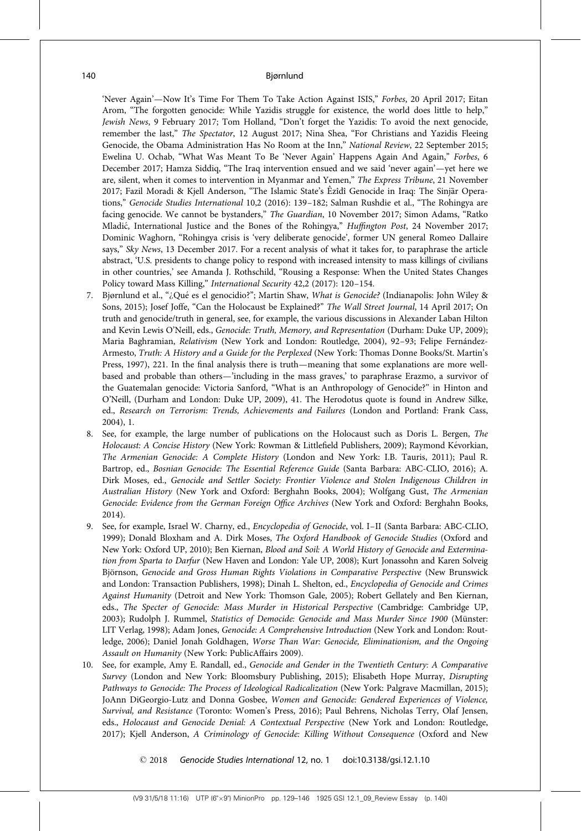'Never Again'—Now It's Time For Them To Take Action Against ISIS,'' Forbes, 20 April 2017; Eitan Arom, ''The forgotten genocide: While Yazidis struggle for existence, the world does little to help,'' Jewish News, 9 February 2017; Tom Holland, "Don't forget the Yazidis: To avoid the next genocide, remember the last," The Spectator, 12 August 2017; Nina Shea, "For Christians and Yazidis Fleeing Genocide, the Obama Administration Has No Room at the Inn,'' National Review, 22 September 2015; Ewelina U. Ochab, "What Was Meant To Be 'Never Again' Happens Again And Again," Forbes, 6 December 2017; Hamza Siddiq, ''The Iraq intervention ensued and we said 'never again'—yet here we are, silent, when it comes to intervention in Myanmar and Yemen," The Express Tribune, 21 November 2017; Fazil Moradi & Kjell Anderson, "The Islamic State's Êzîdî Genocide in Iraq: The Sinjār Operations," Genocide Studies International 10,2 (2016): 139-182; Salman Rushdie et al., "The Rohingya are facing genocide. We cannot be bystanders," The Guardian, 10 November 2017; Simon Adams, "Ratko Mladić, International Justice and the Bones of the Rohingya," Huffington Post, 24 November 2017; Dominic Waghorn, ''Rohingya crisis is 'very deliberate genocide', former UN general Romeo Dallaire says," Sky News, 13 December 2017. For a recent analysis of what it takes for, to paraphrase the article abstract, 'U.S. presidents to change policy to respond with increased intensity to mass killings of civilians in other countries,' see Amanda J. Rothschild, ''Rousing a Response: When the United States Changes Policy toward Mass Killing," International Security 42,2 (2017): 120-154.

- 7. Bjørnlund et al., "¿Qué es el genocidio?"; Martin Shaw, *What is Genocide?* (Indianapolis: John Wiley & Sons, 2015); Josef Joffe, "Can the Holocaust be Explained?" The Wall Street Journal, 14 April 2017; On truth and genocide/truth in general, see, for example, the various discussions in Alexander Laban Hilton and Kevin Lewis O'Neill, eds., Genocide: Truth, Memory, and Representation (Durham: Duke UP, 2009); Maria Baghramian, Relativism (New York and London: Routledge, 2004), 92-93; Felipe Fernández-Armesto, Truth: A History and a Guide for the Perplexed (New York: Thomas Donne Books/St. Martin's Press, 1997), 221. In the final analysis there is truth—meaning that some explanations are more wellbased and probable than others—'including in the mass graves,' to paraphrase Erazmo, a survivor of the Guatemalan genocide: Victoria Sanford, ''What is an Anthropology of Genocide?'' in Hinton and O'Neill, (Durham and London: Duke UP, 2009), 41. The Herodotus quote is found in Andrew Silke, ed., Research on Terrorism: Trends, Achievements and Failures (London and Portland: Frank Cass, 2004), 1.
- 8. See, for example, the large number of publications on the Holocaust such as Doris L. Bergen, The Holocaust: A Concise History (New York: Rowman & Littlefield Publishers, 2009); Raymond Kévorkian, The Armenian Genocide: A Complete History (London and New York: I.B. Tauris, 2011); Paul R. Bartrop, ed., Bosnian Genocide: The Essential Reference Guide (Santa Barbara: ABC-CLIO, 2016); A. Dirk Moses, ed., Genocide and Settler Society: Frontier Violence and Stolen Indigenous Children in Australian History (New York and Oxford: Berghahn Books, 2004); Wolfgang Gust, The Armenian Genocide: Evidence from the German Foreign Office Archives (New York and Oxford: Berghahn Books, 2014).
- 9. See, for example, Israel W. Charny, ed., Encyclopedia of Genocide, vol. I-II (Santa Barbara: ABC-CLIO, 1999); Donald Bloxham and A. Dirk Moses, The Oxford Handbook of Genocide Studies (Oxford and New York: Oxford UP, 2010); Ben Kiernan, Blood and Soil: A World History of Genocide and Extermination from Sparta to Darfur (New Haven and London: Yale UP, 2008); Kurt Jonassohn and Karen Solveig Björnson, Genocide and Gross Human Rights Violations in Comparative Perspective (New Brunswick and London: Transaction Publishers, 1998); Dinah L. Shelton, ed., Encyclopedia of Genocide and Crimes Against Humanity (Detroit and New York: Thomson Gale, 2005); Robert Gellately and Ben Kiernan, eds., The Specter of Genocide: Mass Murder in Historical Perspective (Cambridge: Cambridge UP, 2003); Rudolph J. Rummel, Statistics of Democide: Genocide and Mass Murder Since 1900 (Münster: LIT Verlag, 1998); Adam Jones, Genocide: A Comprehensive Introduction (New York and London: Routledge, 2006); Daniel Jonah Goldhagen, Worse Than War: Genocide, Eliminationism, and the Ongoing Assault on Humanity (New York: PublicAffairs 2009).
- 10. See, for example, Amy E. Randall, ed., Genocide and Gender in the Twentieth Century: A Comparative Survey (London and New York: Bloomsbury Publishing, 2015); Elisabeth Hope Murray, Disrupting Pathways to Genocide: The Process of Ideological Radicalization (New York: Palgrave Macmillan, 2015); JoAnn DiGeorgio-Lutz and Donna Gosbee, Women and Genocide: Gendered Experiences of Violence, Survival, and Resistance (Toronto: Women's Press, 2016); Paul Behrens, Nicholas Terry, Olaf Jensen, eds., Holocaust and Genocide Denial: A Contextual Perspective (New York and London: Routledge, 2017); Kjell Anderson, A Criminology of Genocide: Killing Without Consequence (Oxford and New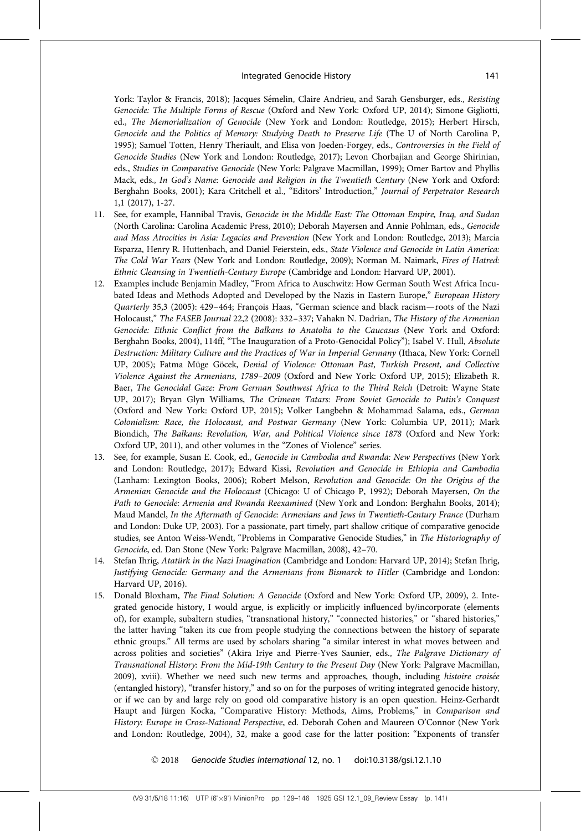York: Taylor & Francis, 2018); Jacques Sémelin, Claire Andrieu, and Sarah Gensburger, eds., Resisting Genocide: The Multiple Forms of Rescue (Oxford and New York: Oxford UP, 2014); Simone Gigliotti, ed., The Memorialization of Genocide (New York and London: Routledge, 2015); Herbert Hirsch, Genocide and the Politics of Memory: Studying Death to Preserve Life (The U of North Carolina P, 1995); Samuel Totten, Henry Theriault, and Elisa von Joeden-Forgey, eds., Controversies in the Field of Genocide Studies (New York and London: Routledge, 2017); Levon Chorbajian and George Shirinian, eds., Studies in Comparative Genocide (New York: Palgrave Macmillan, 1999); Omer Bartov and Phyllis Mack, eds., In God's Name: Genocide and Religion in the Twentieth Century (New York and Oxford: Berghahn Books, 2001); Kara Critchell et al., ''Editors' Introduction,'' Journal of Perpetrator Research 1,1 (2017), 1-27.

- 11. See, for example, Hannibal Travis, Genocide in the Middle East: The Ottoman Empire, Iraq, and Sudan (North Carolina: Carolina Academic Press, 2010); Deborah Mayersen and Annie Pohlman, eds., Genocide and Mass Atrocities in Asia: Legacies and Prevention (New York and London: Routledge, 2013); Marcia Esparza, Henry R. Huttenbach, and Daniel Feierstein, eds., State Violence and Genocide in Latin America: The Cold War Years (New York and London: Routledge, 2009); Norman M. Naimark, Fires of Hatred: Ethnic Cleansing in Twentieth-Century Europe (Cambridge and London: Harvard UP, 2001).
- 12. Examples include Benjamin Madley, ''From Africa to Auschwitz: How German South West Africa Incubated Ideas and Methods Adopted and Developed by the Nazis in Eastern Europe," European History Quarterly 35,3 (2005): 429-464; François Haas, "German science and black racism—roots of the Nazi Holocaust,'' The FASEB Journal 22,2 (2008): 332–337; Vahakn N. Dadrian, The History of the Armenian Genocide: Ethnic Conflict from the Balkans to Anatolia to the Caucasus (New York and Oxford: Berghahn Books, 2004), 114ff, ''The Inauguration of a Proto-Genocidal Policy''); Isabel V. Hull, Absolute Destruction: Military Culture and the Practices of War in Imperial Germany (Ithaca, New York: Cornell UP, 2005); Fatma Müge Göcek, Denial of Violence: Ottoman Past, Turkish Present, and Collective Violence Against the Armenians, 1789–2009 (Oxford and New York: Oxford UP, 2015); Elizabeth R. Baer, The Genocidal Gaze: From German Southwest Africa to the Third Reich (Detroit: Wayne State UP, 2017); Bryan Glyn Williams, The Crimean Tatars: From Soviet Genocide to Putin's Conquest (Oxford and New York: Oxford UP, 2015); Volker Langbehn & Mohammad Salama, eds., German Colonialism: Race, the Holocaust, and Postwar Germany (New York: Columbia UP, 2011); Mark Biondich, The Balkans: Revolution, War, and Political Violence since 1878 (Oxford and New York: Oxford UP, 2011), and other volumes in the ''Zones of Violence'' series.
- 13. See, for example, Susan E. Cook, ed., Genocide in Cambodia and Rwanda: New Perspectives (New York and London: Routledge, 2017); Edward Kissi, Revolution and Genocide in Ethiopia and Cambodia (Lanham: Lexington Books, 2006); Robert Melson, Revolution and Genocide: On the Origins of the Armenian Genocide and the Holocaust (Chicago: U of Chicago P, 1992); Deborah Mayersen, On the Path to Genocide: Armenia and Rwanda Reexamined (New York and London: Berghahn Books, 2014); Maud Mandel, In the Aftermath of Genocide: Armenians and Jews in Twentieth-Century France (Durham and London: Duke UP, 2003). For a passionate, part timely, part shallow critique of comparative genocide studies, see Anton Weiss-Wendt, "Problems in Comparative Genocide Studies," in The Historiography of Genocide, ed. Dan Stone (New York: Palgrave Macmillan, 2008), 42–70.
- 14. Stefan Ihrig, Atatürk in the Nazi Imagination (Cambridge and London: Harvard UP, 2014); Stefan Ihrig, Justifying Genocide: Germany and the Armenians from Bismarck to Hitler (Cambridge and London: Harvard UP, 2016).
- 15. Donald Bloxham, The Final Solution: A Genocide (Oxford and New York: Oxford UP, 2009), 2. Integrated genocide history, I would argue, is explicitly or implicitly influenced by/incorporate (elements of), for example, subaltern studies, "transnational history," "connected histories," or "shared histories," the latter having "taken its cue from people studying the connections between the history of separate ethnic groups." All terms are used by scholars sharing "a similar interest in what moves between and across polities and societies'' (Akira Iriye and Pierre-Yves Saunier, eds., The Palgrave Dictionary of Transnational History: From the Mid-19th Century to the Present Day (New York: Palgrave Macmillan, 2009), xviii). Whether we need such new terms and approaches, though, including histoire croisée (entangled history), ''transfer history,'' and so on for the purposes of writing integrated genocide history, or if we can by and large rely on good old comparative history is an open question. Heinz-Gerhardt Haupt and Jürgen Kocka, "Comparative History: Methods, Aims, Problems," in Comparison and History: Europe in Cross-National Perspective, ed. Deborah Cohen and Maureen O'Connor (New York and London: Routledge, 2004), 32, make a good case for the latter position: ''Exponents of transfer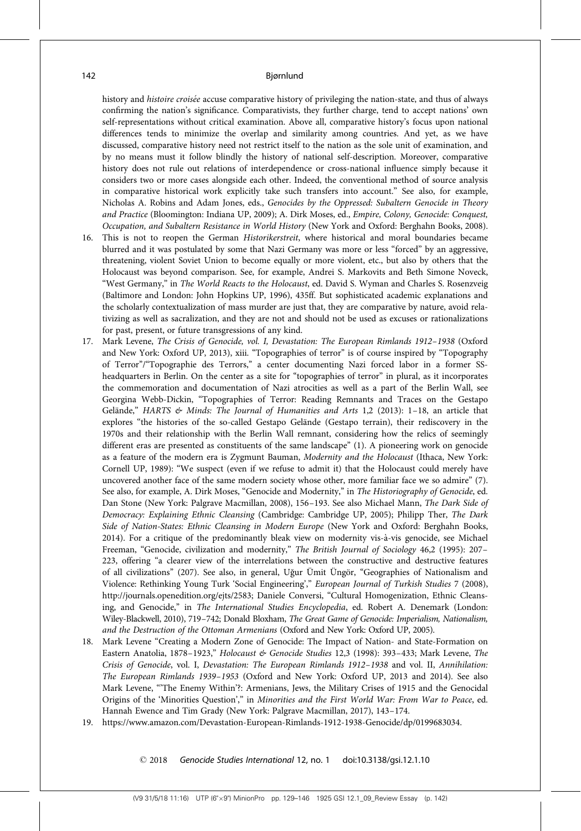history and histoire croisée accuse comparative history of privileging the nation-state, and thus of always confirming the nation's significance. Comparativists, they further charge, tend to accept nations' own self-representations without critical examination. Above all, comparative history's focus upon national differences tends to minimize the overlap and similarity among countries. And yet, as we have discussed, comparative history need not restrict itself to the nation as the sole unit of examination, and by no means must it follow blindly the history of national self-description. Moreover, comparative history does not rule out relations of interdependence or cross-national influence simply because it considers two or more cases alongside each other. Indeed, the conventional method of source analysis in comparative historical work explicitly take such transfers into account.'' See also, for example, Nicholas A. Robins and Adam Jones, eds., Genocides by the Oppressed: Subaltern Genocide in Theory and Practice (Bloomington: Indiana UP, 2009); A. Dirk Moses, ed., Empire, Colony, Genocide: Conquest, Occupation, and Subaltern Resistance in World History (New York and Oxford: Berghahn Books, 2008).

- 16. This is not to reopen the German Historikerstreit, where historical and moral boundaries became blurred and it was postulated by some that Nazi Germany was more or less ''forced'' by an aggressive, threatening, violent Soviet Union to become equally or more violent, etc., but also by others that the Holocaust was beyond comparison. See, for example, Andrei S. Markovits and Beth Simone Noveck, "West Germany," in The World Reacts to the Holocaust, ed. David S. Wyman and Charles S. Rosenzveig (Baltimore and London: John Hopkins UP, 1996), 435ff. But sophisticated academic explanations and the scholarly contextualization of mass murder are just that, they are comparative by nature, avoid relativizing as well as sacralization, and they are not and should not be used as excuses or rationalizations for past, present, or future transgressions of any kind.
- 17. Mark Levene, The Crisis of Genocide, vol. I, Devastation: The European Rimlands 1912–1938 (Oxford and New York: Oxford UP, 2013), xiii. ''Topographies of terror'' is of course inspired by ''Topography of Terror''/''Topographie des Terrors,'' a center documenting Nazi forced labor in a former SSheadquarters in Berlin. On the center as a site for ''topographies of terror'' in plural, as it incorporates the commemoration and documentation of Nazi atrocities as well as a part of the Berlin Wall, see Georgina Webb-Dickin, ''Topographies of Terror: Reading Remnants and Traces on the Gestapo Gelände," HARTS & Minds: The Journal of Humanities and Arts 1,2 (2013): 1-18, an article that explores "the histories of the so-called Gestapo Gelände (Gestapo terrain), their rediscovery in the 1970s and their relationship with the Berlin Wall remnant, considering how the relics of seemingly different eras are presented as constituents of the same landscape'' (1). A pioneering work on genocide as a feature of the modern era is Zygmunt Bauman, Modernity and the Holocaust (Ithaca, New York: Cornell UP, 1989): ''We suspect (even if we refuse to admit it) that the Holocaust could merely have uncovered another face of the same modern society whose other, more familiar face we so admire'' (7). See also, for example, A. Dirk Moses, "Genocide and Modernity," in The Historiography of Genocide, ed. Dan Stone (New York: Palgrave Macmillan, 2008), 156–193. See also Michael Mann, The Dark Side of Democracy: Explaining Ethnic Cleansing (Cambridge: Cambridge UP, 2005); Philipp Ther, The Dark Side of Nation-States: Ethnic Cleansing in Modern Europe (New York and Oxford: Berghahn Books, 2014). For a critique of the predominantly bleak view on modernity vis-à-vis genocide, see Michael Freeman, "Genocide, civilization and modernity," The British Journal of Sociology 46,2 (1995): 207-223, offering "a clearer view of the interrelations between the constructive and destructive features of all civilizations" (207). See also, in general, Uğur Ümit Üngör, "Geographies of Nationalism and Violence: Rethinking Young Turk 'Social Engineering','' European Journal of Turkish Studies 7 (2008), http://journals.openedition.org/ejts/2583; Daniele Conversi, ''Cultural Homogenization, Ethnic Cleansing, and Genocide," in The International Studies Encyclopedia, ed. Robert A. Denemark (London: Wiley-Blackwell, 2010), 719–742; Donald Bloxham, The Great Game of Genocide: Imperialism, Nationalism, and the Destruction of the Ottoman Armenians (Oxford and New York: Oxford UP, 2005).
- 18. Mark Levene "Creating a Modern Zone of Genocide: The Impact of Nation- and State-Formation on Eastern Anatolia, 1878-1923," Holocaust & Genocide Studies 12,3 (1998): 393-433; Mark Levene, The Crisis of Genocide, vol. I, Devastation: The European Rimlands 1912–1938 and vol. II, Annihilation: The European Rimlands 1939–1953 (Oxford and New York: Oxford UP, 2013 and 2014). See also Mark Levene, '''The Enemy Within'?: Armenians, Jews, the Military Crises of 1915 and the Genocidal Origins of the 'Minorities Question','' in Minorities and the First World War: From War to Peace, ed. Hannah Ewence and Tim Grady (New York: Palgrave Macmillan, 2017), 143–174.
- 19. https://www.amazon.com/Devastation-European-Rimlands-1912-1938-Genocide/dp/0199683034.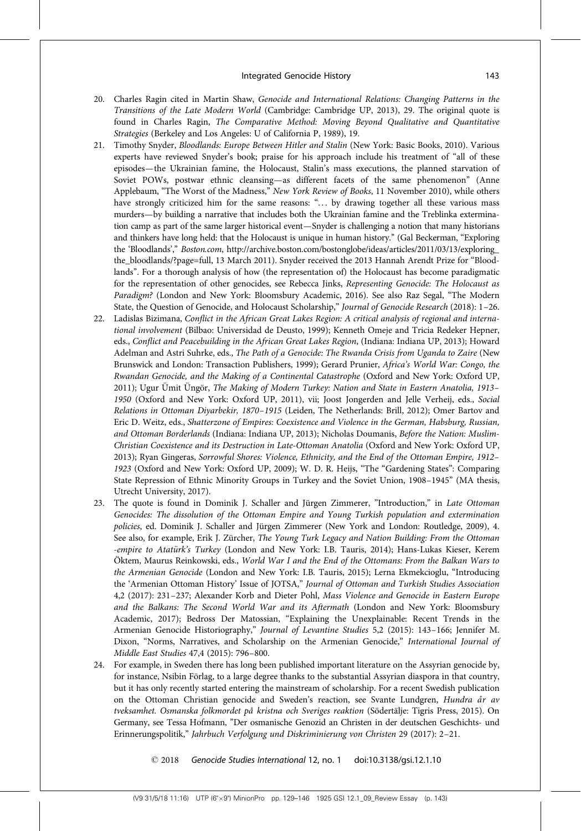- 20. Charles Ragin cited in Martin Shaw, Genocide and International Relations: Changing Patterns in the Transitions of the Late Modern World (Cambridge: Cambridge UP, 2013), 29. The original quote is found in Charles Ragin, The Comparative Method: Moving Beyond Qualitative and Quantitative Strategies (Berkeley and Los Angeles: U of California P, 1989), 19.
- 21. Timothy Snyder, Bloodlands: Europe Between Hitler and Stalin (New York: Basic Books, 2010). Various experts have reviewed Snyder's book; praise for his approach include his treatment of "all of these episodes—the Ukrainian famine, the Holocaust, Stalin's mass executions, the planned starvation of Soviet POWs, postwar ethnic cleansing—as different facets of the same phenomenon'' (Anne Applebaum, "The Worst of the Madness," New York Review of Books, 11 November 2010), while others have strongly criticized him for the same reasons: "... by drawing together all these various mass murders—by building a narrative that includes both the Ukrainian famine and the Treblinka extermination camp as part of the same larger historical event—Snyder is challenging a notion that many historians and thinkers have long held: that the Holocaust is unique in human history.'' (Gal Beckerman, ''Exploring the 'Bloodlands','' Boston.com, http://archive.boston.com/bostonglobe/ideas/articles/2011/03/13/exploring\_ the\_bloodlands/?page=full, 13 March 2011). Snyder received the 2013 Hannah Arendt Prize for ''Bloodlands''. For a thorough analysis of how (the representation of) the Holocaust has become paradigmatic for the representation of other genocides, see Rebecca Jinks, Representing Genocide: The Holocaust as Paradigm? (London and New York: Bloomsbury Academic, 2016). See also Raz Segal, "The Modern State, the Question of Genocide, and Holocaust Scholarship," Journal of Genocide Research (2018): 1-26.
- 22. Ladislas Bizimana, Conflict in the African Great Lakes Region: A critical analysis of regional and international involvement (Bilbao: Universidad de Deusto, 1999); Kenneth Omeje and Tricia Redeker Hepner, eds., Conflict and Peacebuilding in the African Great Lakes Region, (Indiana: Indiana UP, 2013); Howard Adelman and Astri Suhrke, eds., The Path of a Genocide: The Rwanda Crisis from Uganda to Zaire (New Brunswick and London: Transaction Publishers, 1999); Gerard Prunier, Africa's World War: Congo, the Rwandan Genocide, and the Making of a Continental Catastrophe (Oxford and New York: Oxford UP, 2011); Ugur Ümit Üngör, The Making of Modern Turkey: Nation and State in Eastern Anatolia, 1913– 1950 (Oxford and New York: Oxford UP, 2011), vii; Joost Jongerden and Jelle Verheij, eds., Social Relations in Ottoman Diyarbekir, 1870–1915 (Leiden, The Netherlands: Brill, 2012); Omer Bartov and Eric D. Weitz, eds., Shatterzone of Empires: Coexistence and Violence in the German, Habsburg, Russian, and Ottoman Borderlands (Indiana: Indiana UP, 2013); Nicholas Doumanis, Before the Nation: Muslim-Christian Coexistence and its Destruction in Late-Ottoman Anatolia (Oxford and New York: Oxford UP, 2013); Ryan Gingeras, Sorrowful Shores: Violence, Ethnicity, and the End of the Ottoman Empire, 1912– 1923 (Oxford and New York: Oxford UP, 2009); W. D. R. Heijs, ''The ''Gardening States'': Comparing State Repression of Ethnic Minority Groups in Turkey and the Soviet Union, 1908–1945'' (MA thesis, Utrecht University, 2017).
- 23. The quote is found in Dominik J. Schaller and Jürgen Zimmerer, "Introduction," in Late Ottoman Genocides: The dissolution of the Ottoman Empire and Young Turkish population and extermination policies, ed. Dominik J. Schaller and Jürgen Zimmerer (New York and London: Routledge, 2009), 4. See also, for example, Erik J. Zürcher, The Young Turk Legacy and Nation Building: From the Ottoman -empire to Atatürk's Turkey (London and New York: I.B. Tauris, 2014); Hans-Lukas Kieser, Kerem Öktem, Maurus Reinkowski, eds., World War I and the End of the Ottomans: From the Balkan Wars to the Armenian Genocide (London and New York: I.B. Tauris, 2015); Lerna Ekmekcioglu, ''Introducing the 'Armenian Ottoman History' Issue of JOTSA,'' Journal of Ottoman and Turkish Studies Association 4,2 (2017): 231–237; Alexander Korb and Dieter Pohl, Mass Violence and Genocide in Eastern Europe and the Balkans: The Second World War and its Aftermath (London and New York: Bloomsbury Academic, 2017); Bedross Der Matossian, ''Explaining the Unexplainable: Recent Trends in the Armenian Genocide Historiography,'' Journal of Levantine Studies 5,2 (2015): 143–166; Jennifer M. Dixon, "Norms, Narratives, and Scholarship on the Armenian Genocide," International Journal of Middle East Studies 47,4 (2015): 796–800.
- 24. For example, in Sweden there has long been published important literature on the Assyrian genocide by, for instance, Nsibin Förlag, to a large degree thanks to the substantial Assyrian diaspora in that country, but it has only recently started entering the mainstream of scholarship. For a recent Swedish publication on the Ottoman Christian genocide and Sweden's reaction, see Svante Lundgren, Hundra år av tveksamhet. Osmanska folkmordet på kristna och Sveriges reaktion (Södertälje: Tigris Press, 2015). On Germany, see Tessa Hofmann, ''Der osmanische Genozid an Christen in der deutschen Geschichts- und Erinnerungspolitik,'' Jahrbuch Verfolgung und Diskriminierung von Christen 29 (2017): 2–21.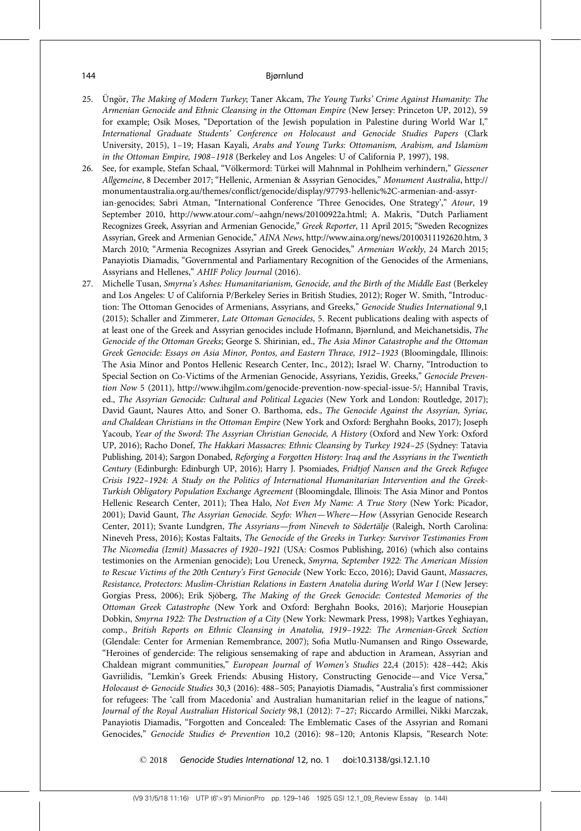- 25. Üngör, The Making of Modern Turkey; Taner Akcam, The Young Turks' Crime Against Humanity: The Armenian Genocide and Ethnic Cleansing in the Ottoman Empire (New Jersey: Princeton UP, 2012), 59 for example; Osik Moses, ''Deportation of the Jewish population in Palestine during World War I,'' International Graduate Students' Conference on Holocaust and Genocide Studies Papers (Clark University, 2015), 1–19; Hasan Kayali, Arabs and Young Turks: Ottomanism, Arabism, and Islamism in the Ottoman Empire, 1908–1918 (Berkeley and Los Angeles: U of California P, 1997), 198.
- 26. See, for example, Stefan Schaal, "Völkermord: Türkei will Mahnmal in Pohlheim verhindern," Giessener Allgemeine, 8 December 2017; ''Hellenic, Armenian & Assyrian Genocides,'' Monument Australia, http:// monumentaustralia.org.au/themes/conflict/genocide/display/97793-hellenic%2C-armenian-and-assyrian-genocides; Sabri Atman, "International Conference 'Three Genocides, One Strategy'," Atour, 19 September 2010, http://www.atour.com/~aahgn/news/20100922a.html; A. Makris, ''Dutch Parliament Recognizes Greek, Assyrian and Armenian Genocide,'' Greek Reporter, 11 April 2015; ''Sweden Recognizes Assyrian, Greek and Armenian Genocide,'' AINA News, http://www.aina.org/news/20100311192620.htm, 3 March 2010; "Armenia Recognizes Assyrian and Greek Genocides," Armenian Weekly, 24 March 2015; Panayiotis Diamadis, "Governmental and Parliamentary Recognition of the Genocides of the Armenians, Assyrians and Hellenes,'' AHIF Policy Journal (2016).
- 27. Michelle Tusan, Smyrna's Ashes: Humanitarianism, Genocide, and the Birth of the Middle East (Berkeley and Los Angeles: U of California P/Berkeley Series in British Studies, 2012); Roger W. Smith, ''Introduction: The Ottoman Genocides of Armenians, Assyrians, and Greeks," Genocide Studies International 9,1 (2015); Schaller and Zimmerer, Late Ottoman Genocides, 5. Recent publications dealing with aspects of at least one of the Greek and Assyrian genocides include Hofmann, Bjørnlund, and Meichanetsidis, The Genocide of the Ottoman Greeks; George S. Shirinian, ed., The Asia Minor Catastrophe and the Ottoman Greek Genocide: Essays on Asia Minor, Pontos, and Eastern Thrace, 1912–1923 (Bloomingdale, Illinois: The Asia Minor and Pontos Hellenic Research Center, Inc., 2012); Israel W. Charny, ''Introduction to Special Section on Co-Victims of the Armenian Genocide, Assyrians, Yezidis, Greeks,'' Genocide Prevention Now 5 (2011), http://www.ihgjlm.com/genocide-prevention-now-special-issue-5/; Hannibal Travis, ed., The Assyrian Genocide: Cultural and Political Legacies (New York and London: Routledge, 2017); David Gaunt, Naures Atto, and Soner O. Barthoma, eds., The Genocide Against the Assyrian, Syriac, and Chaldean Christians in the Ottoman Empire (New York and Oxford: Berghahn Books, 2017); Joseph Yacoub, Year of the Sword: The Assyrian Christian Genocide, A History (Oxford and New York: Oxford UP, 2016); Racho Donef, The Hakkari Massacres: Ethnic Cleansing by Turkey 1924–25 (Sydney: Tatavia Publishing, 2014); Sargon Donabed, Reforging a Forgotten History: Iraq and the Assyrians in the Twentieth Century (Edinburgh: Edinburgh UP, 2016); Harry J. Psomiades, Fridtjof Nansen and the Greek Refugee Crisis 1922–1924: A Study on the Politics of International Humanitarian Intervention and the Greek-Turkish Obligatory Population Exchange Agreement (Bloomingdale, Illinois: The Asia Minor and Pontos Hellenic Research Center, 2011); Thea Halo, Not Even My Name: A True Story (New York: Picador, 2001); David Gaunt, The Assyrian Genocide. Seyfo: When-Where-How (Assyrian Genocide Research Center, 2011); Svante Lundgren, The Assyrians—from Nineveh to Södertälje (Raleigh, North Carolina: Nineveh Press, 2016); Kostas Faltaits, The Genocide of the Greeks in Turkey: Survivor Testimonies From The Nicomedia (Izmit) Massacres of 1920–1921 (USA: Cosmos Publishing, 2016) (which also contains testimonies on the Armenian genocide); Lou Ureneck, Smyrna, September 1922: The American Mission to Rescue Victims of the 20th Century's First Genocide (New York: Ecco, 2016); David Gaunt, Massacres, Resistance, Protectors: Muslim-Christian Relations in Eastern Anatolia during World War I (New Jersey: Gorgias Press, 2006); Erik Sjöberg, The Making of the Greek Genocide: Contested Memories of the Ottoman Greek Catastrophe (New York and Oxford: Berghahn Books, 2016); Marjorie Housepian Dobkin, Smyrna 1922: The Destruction of a City (New York: Newmark Press, 1998); Vartkes Yeghiayan, comp., British Reports on Ethnic Cleansing in Anatolia, 1919–1922: The Armenian-Greek Section (Glendale: Center for Armenian Remembrance, 2007); Sofia Mutlu-Numansen and Ringo Ossewarde, ''Heroines of gendercide: The religious sensemaking of rape and abduction in Aramean, Assyrian and Chaldean migrant communities,'' European Journal of Women's Studies 22,4 (2015): 428–442; Akis Gavriilidis, ''Lemkin's Greek Friends: Abusing History, Constructing Genocide—and Vice Versa,'' Holocaust & Genocide Studies 30,3 (2016): 488-505; Panayiotis Diamadis, "Australia's first commissioner for refugees: The 'call from Macedonia' and Australian humanitarian relief in the league of nations,'' Journal of the Royal Australian Historical Society 98,1 (2012): 7–27; Riccardo Armillei, Nikki Marczak, Panayiotis Diamadis, ''Forgotten and Concealed: The Emblematic Cases of the Assyrian and Romani Genocides," Genocide Studies & Prevention 10,2 (2016): 98-120; Antonis Klapsis, "Research Note: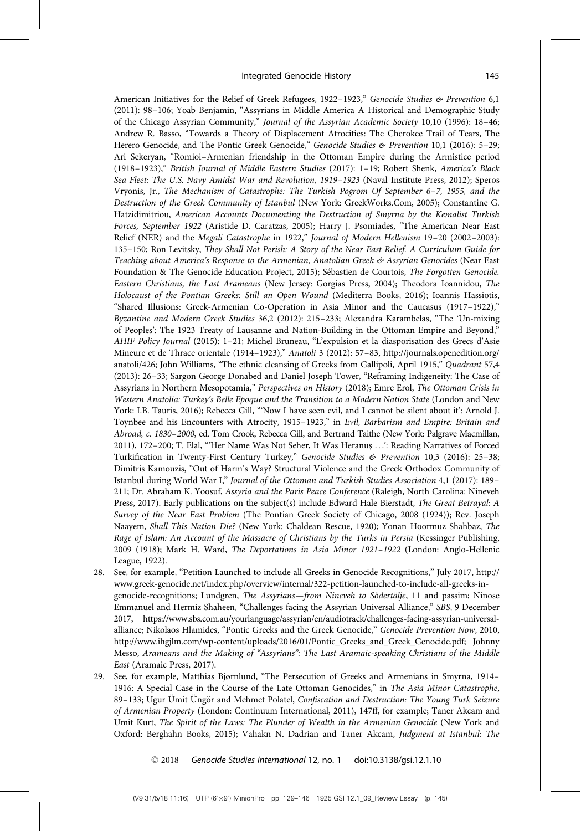American Initiatives for the Relief of Greek Refugees, 1922-1923," Genocide Studies & Prevention 6,1 (2011): 98–106; Yoab Benjamin, ''Assyrians in Middle America A Historical and Demographic Study of the Chicago Assyrian Community,'' Journal of the Assyrian Academic Society 10,10 (1996): 18–46; Andrew R. Basso, ''Towards a Theory of Displacement Atrocities: The Cherokee Trail of Tears, The Herero Genocide, and The Pontic Greek Genocide," Genocide Studies & Prevention 10,1 (2016): 5-29; Ari Sekeryan, ''Romioi–Armenian friendship in the Ottoman Empire during the Armistice period (1918–1923),'' British Journal of Middle Eastern Studies (2017): 1–19; Robert Shenk, America's Black Sea Fleet: The U.S. Navy Amidst War and Revolution, 1919–1923 (Naval Institute Press, 2012); Speros Vryonis, Jr., The Mechanism of Catastrophe: The Turkish Pogrom Of September 6–7, 1955, and the Destruction of the Greek Community of Istanbul (New York: GreekWorks.Com, 2005); Constantine G. Hatzidimitriou, American Accounts Documenting the Destruction of Smyrna by the Kemalist Turkish Forces, September 1922 (Aristide D. Caratzas, 2005); Harry J. Psomiades, ''The American Near East Relief (NER) and the Megali Catastrophe in 1922," Journal of Modern Hellenism 19-20 (2002-2003): 135–150; Ron Levitsky, They Shall Not Perish: A Story of the Near East Relief. A Curriculum Guide for Teaching about America's Response to the Armenian, Anatolian Greek & Assyrian Genocides (Near East Foundation & The Genocide Education Project, 2015); Sébastien de Courtois, The Forgotten Genocide. Eastern Christians, the Last Arameans (New Jersey: Gorgias Press, 2004); Theodora Ioannidou, The Holocaust of the Pontian Greeks: Still an Open Wound (Mediterra Books, 2016); Ioannis Hassiotis, "Shared Illusions: Greek-Armenian Co-Operation in Asia Minor and the Caucasus (1917-1922)," Byzantine and Modern Greek Studies 36,2 (2012): 215–233; Alexandra Karambelas, ''The 'Un-mixing of Peoples': The 1923 Treaty of Lausanne and Nation-Building in the Ottoman Empire and Beyond,'' AHIF Policy Journal (2015): 1-21; Michel Bruneau, "L'expulsion et la diasporisation des Grecs d'Asie Mineure et de Thrace orientale (1914–1923)," Anatoli 3 (2012): 57-83, http://journals.openedition.org/ anatoli/426; John Williams, "The ethnic cleansing of Greeks from Gallipoli, April 1915," Quadrant 57,4 (2013): 26–33; Sargon George Donabed and Daniel Joseph Tower, ''Reframing Indigeneity: The Case of Assyrians in Northern Mesopotamia,'' Perspectives on History (2018); Emre Erol, The Ottoman Crisis in Western Anatolia: Turkey's Belle Epoque and the Transition to a Modern Nation State (London and New York: I.B. Tauris, 2016); Rebecca Gill, '''Now I have seen evil, and I cannot be silent about it': Arnold J. Toynbee and his Encounters with Atrocity, 1915-1923," in Evil, Barbarism and Empire: Britain and Abroad, c. 1830–2000, ed. Tom Crook, Rebecca Gill, and Bertrand Taithe (New York: Palgrave Macmillan, 2011), 172–200; T. Elal, '''Her Name Was Not Seher, It Was Heranus¸ . . .': Reading Narratives of Forced Turkification in Twenty-First Century Turkey,'' Genocide Studies & Prevention 10,3 (2016): 25–38; Dimitris Kamouzis, "Out of Harm's Way? Structural Violence and the Greek Orthodox Community of Istanbul during World War I,'' Journal of the Ottoman and Turkish Studies Association 4,1 (2017): 189– 211; Dr. Abraham K. Yoosuf, Assyria and the Paris Peace Conference (Raleigh, North Carolina: Nineveh Press, 2017). Early publications on the subject(s) include Edward Hale Bierstadt, The Great Betrayal: A Survey of the Near East Problem (The Pontian Greek Society of Chicago, 2008 (1924)); Rev. Joseph Naayem, Shall This Nation Die? (New York: Chaldean Rescue, 1920); Yonan Hoormuz Shahbaz, The Rage of Islam: An Account of the Massacre of Christians by the Turks in Persia (Kessinger Publishing, 2009 (1918); Mark H. Ward, The Deportations in Asia Minor 1921–1922 (London: Anglo-Hellenic League, 1922).

- 28. See, for example, ''Petition Launched to include all Greeks in Genocide Recognitions,'' July 2017, http:// www.greek-genocide.net/index.php/overview/internal/322-petition-launched-to-include-all-greeks-ingenocide-recognitions; Lundgren, The Assyrians—from Nineveh to Södertälje, 11 and passim; Ninose Emmanuel and Hermiz Shaheen, "Challenges facing the Assyrian Universal Alliance," SBS, 9 December 2017, https://www.sbs.com.au/yourlanguage/assyrian/en/audiotrack/challenges-facing-assyrian-universalalliance; Nikolaos Hlamides, "Pontic Greeks and the Greek Genocide," Genocide Prevention Now, 2010, http://www.ihgjlm.com/wp-content/uploads/2016/01/Pontic\_Greeks\_and\_Greek\_Genocide.pdf; Johnny Messo, Arameans and the Making of ''Assyrians'': The Last Aramaic-speaking Christians of the Middle East (Aramaic Press, 2017).
- 29. See, for example, Matthias Bjørnlund, ''The Persecution of Greeks and Armenians in Smyrna, 1914– 1916: A Special Case in the Course of the Late Ottoman Genocides,'' in The Asia Minor Catastrophe, 89–133; Ugur Ümit Üngör and Mehmet Polatel, Confiscation and Destruction: The Young Turk Seizure of Armenian Property (London: Continuum International, 2011), 147ff, for example; Taner Akcam and Umit Kurt, The Spirit of the Laws: The Plunder of Wealth in the Armenian Genocide (New York and Oxford: Berghahn Books, 2015); Vahakn N. Dadrian and Taner Akcam, Judgment at Istanbul: The